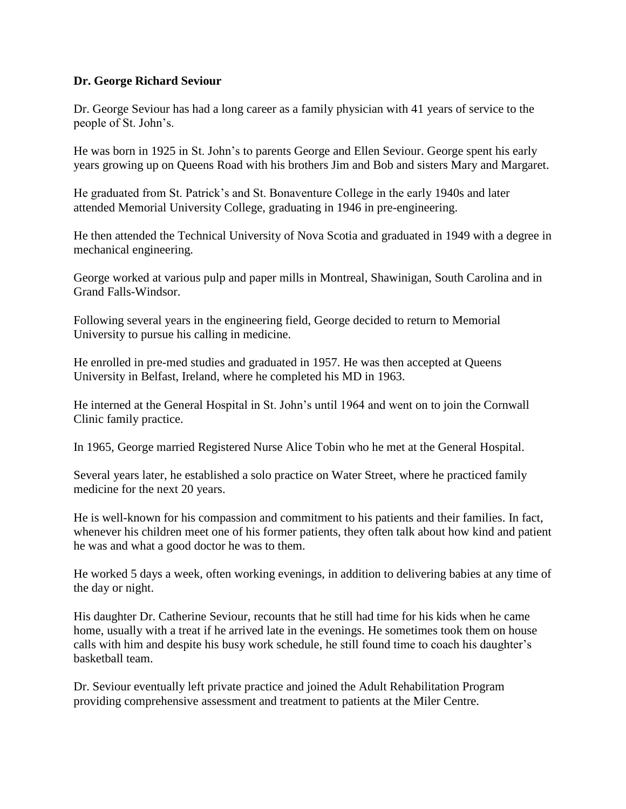## **Dr. George Richard Seviour**

Dr. George Seviour has had a long career as a family physician with 41 years of service to the people of St. John's.

He was born in 1925 in St. John's to parents George and Ellen Seviour. George spent his early years growing up on Queens Road with his brothers Jim and Bob and sisters Mary and Margaret.

He graduated from St. Patrick's and St. Bonaventure College in the early 1940s and later attended Memorial University College, graduating in 1946 in pre-engineering.

He then attended the Technical University of Nova Scotia and graduated in 1949 with a degree in mechanical engineering.

George worked at various pulp and paper mills in Montreal, Shawinigan, South Carolina and in Grand Falls-Windsor.

Following several years in the engineering field, George decided to return to Memorial University to pursue his calling in medicine.

He enrolled in pre-med studies and graduated in 1957. He was then accepted at Queens University in Belfast, Ireland, where he completed his MD in 1963.

He interned at the General Hospital in St. John's until 1964 and went on to join the Cornwall Clinic family practice.

In 1965, George married Registered Nurse Alice Tobin who he met at the General Hospital.

Several years later, he established a solo practice on Water Street, where he practiced family medicine for the next 20 years.

He is well-known for his compassion and commitment to his patients and their families. In fact, whenever his children meet one of his former patients, they often talk about how kind and patient he was and what a good doctor he was to them.

He worked 5 days a week, often working evenings, in addition to delivering babies at any time of the day or night.

His daughter Dr. Catherine Seviour, recounts that he still had time for his kids when he came home, usually with a treat if he arrived late in the evenings. He sometimes took them on house calls with him and despite his busy work schedule, he still found time to coach his daughter's basketball team.

Dr. Seviour eventually left private practice and joined the Adult Rehabilitation Program providing comprehensive assessment and treatment to patients at the Miler Centre.